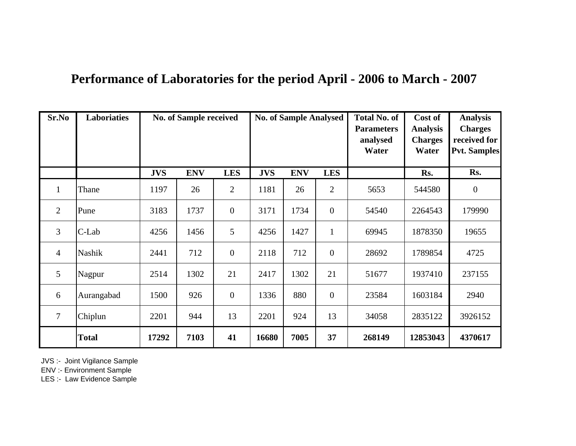## **Performance of Laboratories for the period April - 2006 to March - 2007**

| Sr.No          | <b>Laboriaties</b> | <b>No. of Sample received</b> |            |                  |            | <b>No. of Sample Analysed</b> |                | <b>Total No. of</b><br><b>Parameters</b><br>analysed<br>Water | Cost of<br><b>Analysis</b><br><b>Charges</b><br>Water | <b>Analysis</b><br><b>Charges</b><br>received for<br><b>Pvt. Samples</b> |
|----------------|--------------------|-------------------------------|------------|------------------|------------|-------------------------------|----------------|---------------------------------------------------------------|-------------------------------------------------------|--------------------------------------------------------------------------|
|                |                    | <b>JVS</b>                    | <b>ENV</b> | <b>LES</b>       | <b>JVS</b> | <b>ENV</b>                    | <b>LES</b>     |                                                               | Rs.                                                   | Rs.                                                                      |
| 1              | Thane              | 1197                          | 26         | $\overline{2}$   | 1181       | 26                            | $\overline{2}$ | 5653                                                          | 544580                                                | $\overline{0}$                                                           |
| $\overline{2}$ | Pune               | 3183                          | 1737       | $\boldsymbol{0}$ | 3171       | 1734                          | $\overline{0}$ | 54540                                                         | 2264543                                               | 179990                                                                   |
| $\overline{3}$ | C-Lab              | 4256                          | 1456       | 5                | 4256       | 1427                          | $\mathbf{1}$   | 69945                                                         | 1878350                                               | 19655                                                                    |
| $\overline{4}$ | Nashik             | 2441                          | 712        | $\boldsymbol{0}$ | 2118       | 712                           | $\overline{0}$ | 28692                                                         | 1789854                                               | 4725                                                                     |
| 5              | Nagpur             | 2514                          | 1302       | 21               | 2417       | 1302                          | 21             | 51677                                                         | 1937410                                               | 237155                                                                   |
| 6              | Aurangabad         | 1500                          | 926        | $\boldsymbol{0}$ | 1336       | 880                           | $\overline{0}$ | 23584                                                         | 1603184                                               | 2940                                                                     |
| $\tau$         | Chiplun            | 2201                          | 944        | 13               | 2201       | 924                           | 13             | 34058                                                         | 2835122                                               | 3926152                                                                  |
|                | <b>Total</b>       | 17292                         | 7103       | 41               | 16680      | 7005                          | 37             | 268149                                                        | 12853043                                              | 4370617                                                                  |

JVS :- Joint Vigilance Sample

ENV :- Environment Sample

LES :- Law Evidence Sample